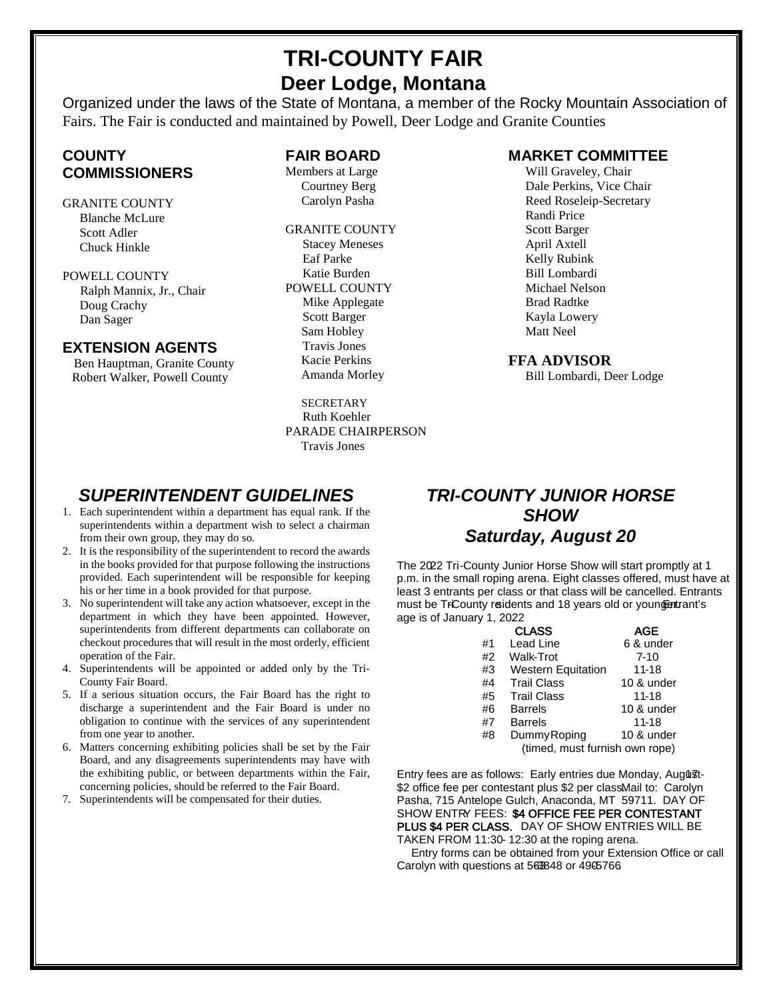# **TRI-COUNTY FAIR Deer Lodge, Montana**

Organized under the laws of the State of Montana, a member of the Rocky Mountain Association of Fairs. The Fair is conducted and maintained by Powell, Deer Lodge and Granite Counties

## **COUNTY COMMISSIONERS**

GRANITE COUNTY Blanche McLure Scott Adler Chuck Hinkle

POWELL COUNTY Ralph Mannix, Jr., Chair Doug Crachy Dan Sager

#### **EXTENSION AGENTS**

Ben Hauptman, Granite County Robert Walker, Powell County

#### **FAIR BOARD**

Members at Large Courtney Berg Carolyn Pasha

GRANITE COUNTY Stacey Meneses Eaf Parke Katie Burden POWELL COUNTY Mike Applegate Scott Barger Sam Hobley Travis Jones Kacie Perkins Amanda Morley

**SECRETARY** Ruth Koehler PARADE CHAIRPERSON Travis Jones

#### **MARKET COMMITTEE**

Will Graveley, Chair Dale Perkins, Vice Chair Reed Roseleip-Secretary Randi Price Scott Barger April Axtell Kelly Rubink Bill Lombardi Michael Nelson Brad Radtke Kayla Lowery Matt Neel

#### **FFA ADVISOR**

Bill Lombardi, Deer Lodge

## *SUPERINTENDENT GUIDELINES*

- 1. Each superintendent within a department has equal rank. If the superintendents within a department wish to select a chairman from their own group, they may do so.
- 2. It is the responsibility of the superintendent to record the awards in the books provided for that purpose following the instructions provided. Each superintendent will be responsible for keeping his or her time in a book provided for that purpose.
- 3. No superintendent will take any action whatsoever, except in the department in which they have been appointed. However, superintendents from different departments can collaborate on checkout procedures that will result in the most orderly, efficient operation of the Fair.
- 4. Superintendents will be appointed or added only by the Tri-County Fair Board.
- 5. If a serious situation occurs, the Fair Board has the right to discharge a superintendent and the Fair Board is under no obligation to continue with the services of any superintendent from one year to another.
- 6. Matters concerning exhibiting policies shall be set by the Fair Board, and any disagreements superintendents may have with the exhibiting public, or between departments within the Fair, concerning policies, should be referred to the Fair Board.
- 7. Superintendents will be compensated for their duties.

# *TRI-COUNTY JUNIOR HORSE SHOW Saturday, August 20*

The 2022 Tri-County Junior Horse Show will start promptly at 1 p.m. in the small roping arena. Eight classes offered, must have at least 3 entrants per class or that class will be cancelled. Entrants must be TrCounty reidents and 18 years old or youngentrant's age is of January 1, 2022.

|    | <b>CLASS</b>                   | AGE        |  |  |  |  |
|----|--------------------------------|------------|--|--|--|--|
| #1 | Lead Line                      | 6 & under  |  |  |  |  |
| #2 | Walk-Trot                      | $7 - 10$   |  |  |  |  |
| #3 | <b>Western Equitation</b>      | $11 - 18$  |  |  |  |  |
| #4 | <b>Trail Class</b>             | 10 & under |  |  |  |  |
| #5 | <b>Trail Class</b>             | 11-18      |  |  |  |  |
| #6 | <b>Barrels</b>                 | 10 & under |  |  |  |  |
| #7 | <b>Barrels</b>                 | $11 - 18$  |  |  |  |  |
| #8 | Dummy Roping                   | 10 & under |  |  |  |  |
|    | (timed, must furnish own rope) |            |  |  |  |  |

Entry fees are as follows: Early entries due Monday, August-\$2 office fee per contestant plus \$2 per classMail to: Carolyn Pasha, 715 Antelope Gulch, Anaconda, MT 59711. DAY OF SHOW ENTRY FEES: \$4 OFFICE FEE PER CONTESTANT PLUS \$4 PER CLASS. DAY OF SHOW ENTRIES WILL BE TAKEN FROM 11:30-12:30 at the roping arena.

 Entry forms can be obtained from your Extension Office or call Carolyn with questions at 563848 or 4905766.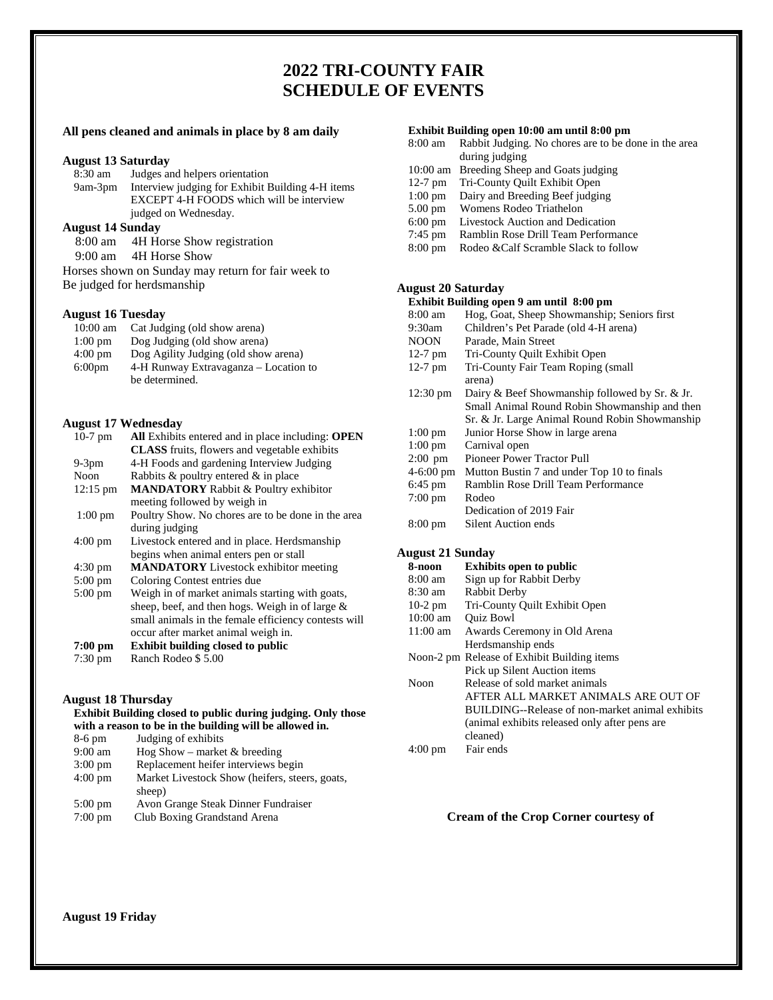## **2022 TRI-COUNTY FAIR SCHEDULE OF EVENTS**

#### **All pens cleaned and animals in place by 8 am daily**

# **August 13 Saturday**

Judges and helpers orientation 9am-3pm Interview judging for Exhibit Building 4-H items EXCEPT 4-H FOODS which will be interview judged on Wednesday.

#### **August 14 Sunday**

8:00 am 4H Horse Show registration

9:00 am 4H Horse Show

Horses shown on Sunday may return for fair week to Be judged for herdsmanship

#### **August 16 Tuesday**

| $10:00 \text{ am}$ | Cat Judging (old show arena)          |
|--------------------|---------------------------------------|
| $1:00 \text{ pm}$  | Dog Judging (old show arena)          |
| $4:00 \text{ pm}$  | Dog Agility Judging (old show arena)  |
| 6:00 <sub>pm</sub> | 4-H Runway Extravaganza – Location to |
|                    | be determined.                        |

#### **August 17 Wednesday**

| $10-7$ pm          | All Exhibits entered and in place including: OPEN    |
|--------------------|------------------------------------------------------|
|                    | <b>CLASS</b> fruits, flowers and vegetable exhibits  |
| $9-3$ pm           | 4-H Foods and gardening Interview Judging            |
| Noon               | Rabbits $\&$ poultry entered $\&$ in place           |
| $12:15 \text{ pm}$ | <b>MANDATORY</b> Rabbit & Poultry exhibitor          |
|                    | meeting followed by weigh in                         |
| $1:00 \text{ pm}$  | Poultry Show. No chores are to be done in the area   |
|                    | during judging                                       |
| $4:00 \text{ pm}$  | Livestock entered and in place. Herdsmanship         |
|                    | begins when animal enters pen or stall               |
| $4:30 \text{ pm}$  | <b>MANDATORY</b> Livestock exhibitor meeting         |
| $5:00$ pm          | Coloring Contest entries due                         |
| $5:00$ pm          | Weigh in of market animals starting with goats,      |
|                    | sheep, beef, and then hogs. Weigh in of large $\&$   |
|                    | small animals in the female efficiency contests will |
|                    | occur after market animal weigh in.                  |
| 7:00 pm            | <b>Exhibit building closed to public</b>             |
| $7:30 \text{ pm}$  | Ranch Rodeo \$5.00                                   |

#### **August 18 Thursday**

#### **Exhibit Building closed to public during judging. Only those with a reason to be in the building will be allowed in.**

| $8-6$ pm          | Judging of exhibits                            |
|-------------------|------------------------------------------------|
| $9:00$ am         | Hog Show – market $&$ breeding                 |
| $3:00 \text{ pm}$ | Replacement heifer interviews begin            |
| $4:00$ pm         | Market Livestock Show (heifers, steers, goats, |
|                   | sheep)                                         |
| $5:00 \text{ pm}$ | Avon Grange Steak Dinner Fundraiser            |
| $7:00$ pm         | Club Boxing Grandstand Arena                   |

#### **Exhibit Building open 10:00 am until 8:00 pm**

- 8:00 am Rabbit Judging. No chores are to be done in the area during judging
- 10:00 am Breeding Sheep and Goats judging
- 12-7 pm Tri-County Quilt Exhibit Open
- 1:00 pm Dairy and Breeding Beef judging
- 5.00 pm Womens Rodeo Triathelon
- 6:00 pm Livestock Auction and Dedication
- 7:45 pm Ramblin Rose Drill Team Performance
- 8:00 pm Rodeo &Calf Scramble Slack to follow

#### **August 20 Saturday**

#### **Exhibit Building open 9 am until 8:00 pm**

| $8:00 \text{ am}$   | Hog, Goat, Sheep Showmanship; Seniors first    |
|---------------------|------------------------------------------------|
| 9:30am              | Children's Pet Parade (old 4-H arena)          |
| <b>NOON</b>         | Parade, Main Street                            |
| $12-7$ pm           | Tri-County Quilt Exhibit Open                  |
| $12-7$ pm           | Tri-County Fair Team Roping (small             |
|                     | arena)                                         |
| 12:30 pm            | Dairy & Beef Showmanship followed by Sr. & Jr. |
|                     | Small Animal Round Robin Showmanship and then  |
|                     | Sr. & Jr. Large Animal Round Robin Showmanship |
| $1:00 \text{ pm}$   | Junior Horse Show in large arena               |
| $1:00 \text{ pm}$   | Carnival open                                  |
| $2:00$ pm           | <b>Pioneer Power Tractor Pull</b>              |
| $4-6:00 \text{ pm}$ | Mutton Bustin 7 and under Top 10 to finals     |
| $6:45$ pm           | Ramblin Rose Drill Team Performance            |
| $7:00 \text{ pm}$   | Rodeo                                          |
|                     | Dedication of 2019 Fair                        |
| $8:00 \text{ pm}$   | Silent Auction ends                            |
|                     |                                                |

#### **August 21 Sunday**

| 8-noon             | <b>Exhibits open to public</b>                  |
|--------------------|-------------------------------------------------|
| $8:00 \text{ am}$  | Sign up for Rabbit Derby                        |
| 8:30 am            | Rabbit Derby                                    |
| $10-2$ pm          | Tri-County Quilt Exhibit Open                   |
| $10:00$ am         | <b>Ouiz Bowl</b>                                |
| $11:00 \text{ am}$ | Awards Ceremony in Old Arena                    |
|                    | Herdsmanship ends                               |
|                    | Noon-2 pm Release of Exhibit Building items     |
|                    | Pick up Silent Auction items                    |
| Noon               | Release of sold market animals                  |
|                    | AFTER ALL MARKET ANIMALS ARE OUT OF             |
|                    | BUILDING--Release of non-market animal exhibits |
|                    | (animal exhibits released only after pens are   |
|                    | cleaned)                                        |
| $4:00 \text{ pm}$  | Fair ends                                       |
|                    |                                                 |

#### **Cream of the Crop Corner courtesy of**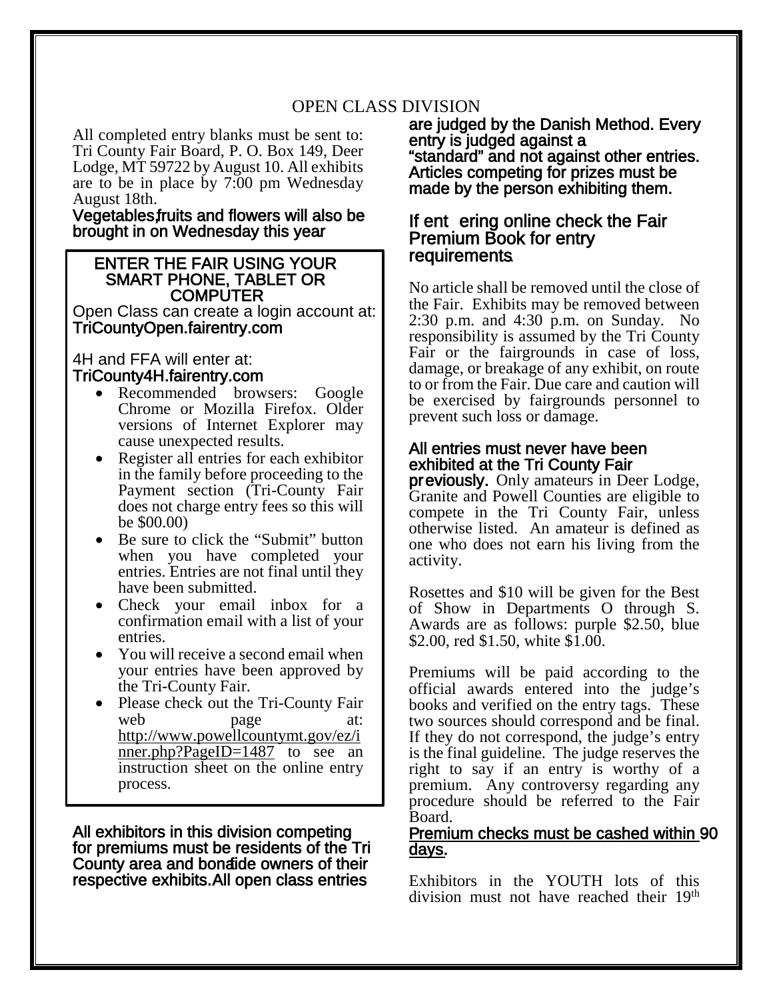# OPEN CLASS DIVISION

All completed entry blanks must be sent to: Tri County Fair Board, P. O. Box 149, Deer Lodge, MT 59722 by August 10. All exhibits are to be in place by 7:00 pm Wednesday August 18th.

Vegetables, fruits and flowers will also be brought in on Wednesday this year.

# ENTER THE FAIR USING YOUR SMART PHONE, TABLET OR

Open Class can create a login account at: TriCountyOpen.fairentry.com

#### 4H and FFA will enter at: TriCounty4H.fairentry.com

- Recommended browsers: Google Chrome or Mozilla Firefox. Older versions of Internet Explorer may cause unexpected results.
- Register all entries for each exhibitor in the family before proceeding to the Payment section (Tri-County Fair does not charge entry fees so this will be \$00.00)
- Be sure to click the "Submit" button when you have completed your entries. Entries are not final until they have been submitted.
- Check your email inbox for a confirmation email with a list of your entries.
- You will receive a second email when your entries have been approved by the Tri-County Fair.
- Please check out the Tri-County Fair web page at: [http://www.powellcountymt.gov/ez/i](http://www.powellcountymt.gov/ez/inner.php?PageID=1487) [nner.php?PageID=1487](http://www.powellcountymt.gov/ez/inner.php?PageID=1487) to see an instruction sheet on the online entry process.

All exhibitors in this division competing for premiums must be residents of the Tri County area and bonaide owners of their respective exhibits. All open class entries

are judged by the Danish Method. Every entry is judged against a "standard" and not against other entries.<br>Articles competing for prizes must be made by the person exhibiting them.

# If ent ering online check the Fair<br>Premium Book for entry requirements.

No article shall be removed until the close of the Fair. Exhibits may be removed between 2:30 p.m. and 4:30 p.m. on Sunday. No responsibility is assumed by the Tri County Fair or the fairgrounds in case of loss, damage, or breakage of any exhibit, on route to or from the Fair. Due care and caution will be exercised by fairgrounds personnel to prevent such loss or damage.

#### All entries must never have been exhibited at the Tri County Fair

previously. Only amateurs in Deer Lodge, Granite and Powell Counties are eligible to compete in the Tri County Fair, unless otherwise listed. An amateur is defined as one who does not earn his living from the activity.

Rosettes and \$10 will be given for the Best of Show in Departments O through S. Awards are as follows: purple \$2.50, blue \$2.00, red \$1.50, white \$1.00.

Premiums will be paid according to the official awards entered into the judge's books and verified on the entry tags. These two sources should correspond and be final. If they do not correspond, the judge's entry is the final guideline. The judge reserves the right to say if an entry is worthy of a premium. Any controversy regarding any procedure should be referred to the Fair Board.

#### Premium checks must be cashed within 90 days.

Exhibitors in the YOUTH lots of this division must not have reached their 19th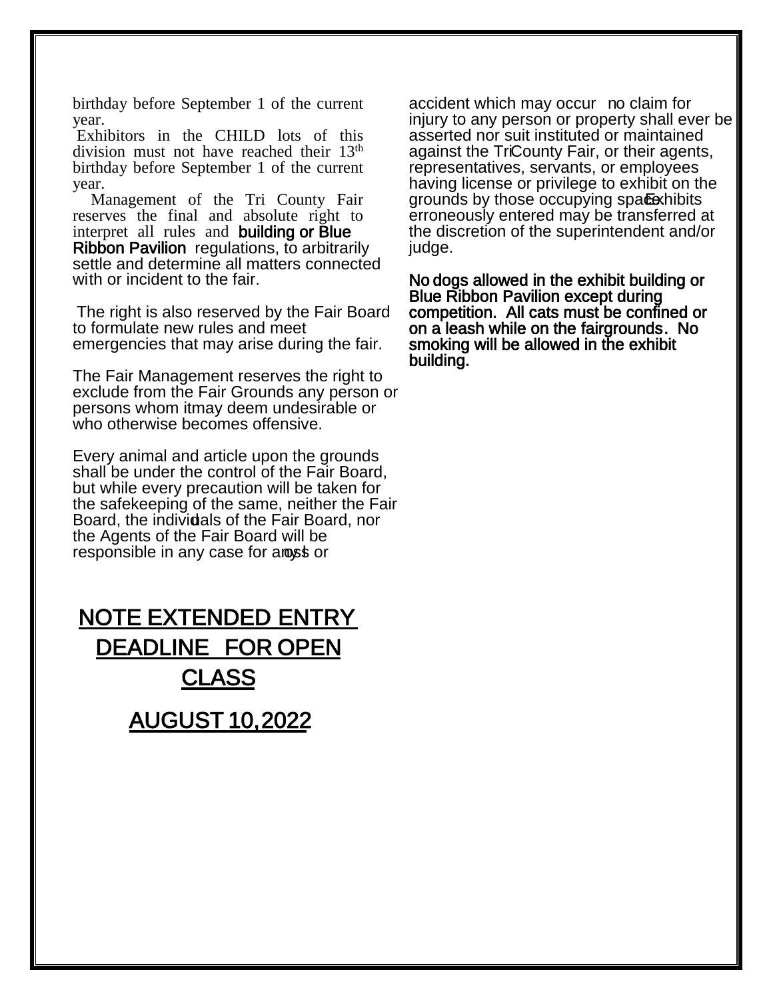birthday before September 1 of the current year.

Exhibitors in the CHILD lots of this division must not have reached their 13<sup>th</sup> birthday before September 1 of the current year.

Management of the Tri County Fair reserves the final and absolute right to interpret all rules and building or Blue Ribbon Pavilion regulations, to arbitrarily settle and determine all matters connected with or incident to the fair.

The right is also reserved by the Fair Board to formulate new rules and meet emergencies that may arise during the fair.

The Fair Management reserves the right to exclude from the Fair Grounds any person or persons whom it may deem undesirable or who otherwise becomes offensive.

Every animal and article upon the grounds shall be under the control of the Fair Board, but while every precaution will be taken for the safekeeping of the same, neither the Fair Board, the individals of the Fair Board, nor the Agents of the Fair Board will be responsible in any case for anost or

NOTE EXTENDED ENTRY DEADLINE FOR OPEN **CLASS** AUGUST 10, 2022

accident which may occur no claim for injury to any person or property shall ever be asserted nor suit instituted or maintained against the TriCounty Fair, or their agents, representatives, servants, or employees having license or privilege to exhibit on the grounds by those occupying space. Exhibits erroneously entered may be transferred at the discretion of the superintendent and/or judge.

No dogs allowed in the exhibit building or Blue Ribbon Pavilion except during competition. All cats must be confined or on a leash while on the fairgrounds. No smoking will be allowed in the exhibit building.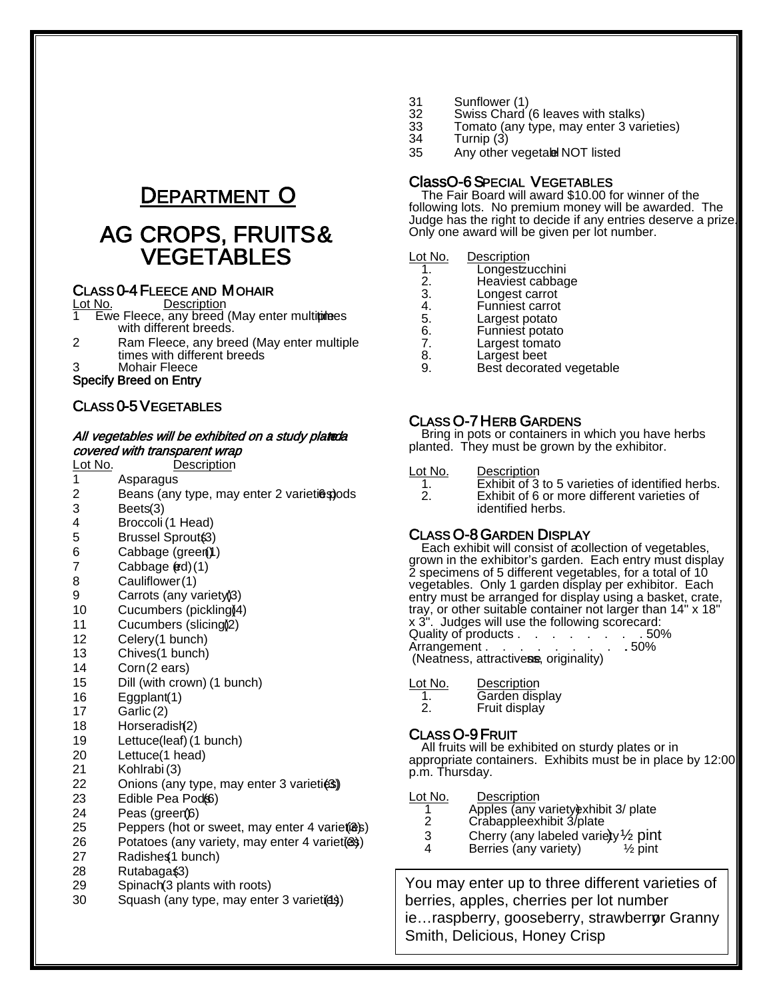# DEPARTMENT O

# AG CROPS, FRUITS &

# **CLASS 0-4 FLEECE AND MOHAIR**<br>Lot No. Description

**Ewe Fleece, any breed (May enter multiplees** with different breeds.

- 2 Ram Fleece, any breed (May enter multiple times with different breeds
- 3 Mohair Fleece

Specify Breed on Entry

#### CLASS 0-5 VEGETABLES

#### All vegetables will be exhibited on a study plateda covered with transparent wrap

| Lot No. | <b>Description</b>                         |
|---------|--------------------------------------------|
| 1       | Asparagus                                  |
| 2       | Beans (any type, may enter 2 varieti@spods |
| 3       | Beets(3)                                   |
| 4       | Broccoli (1 Head)                          |
| 5       | Brussel Sprout(3)                          |
| 6       | Cabbage (green))                           |
| 7       | Cabbage (ed)(1)                            |
| 8       | Cauliflower(1)                             |
| 9       | Carrots (any variety)3)                    |
| 10      | Cucumbers (pickling)[4)                    |
| 11      | Cucumbers (slicing) <sub>(2)</sub>         |
| 12      | Celery(1 bunch)                            |
| 13      | Chives(1 bunch)                            |
| 14      | Corn(2 ears)                               |
| 15      | Dill (with crown) (1 bunch)                |
| 16      | Eggplant(1)                                |
| 17      | Garlic (2)                                 |
| 18      | Horseradish(2)                             |
| 19      | Lettuce(leaf) (1 bunch)                    |
| 20      | Lettuce(1 head)                            |
| 21      | Kohlrabi (3)                               |
| 22      | Onions (any type, may enter 3 varieties)   |
|         |                                            |

- 23 Edible Pea Pod(66)<br>24 Peas (green/6)
- Peas (green) (6)
- 25 Peppers (hot or sweet, may enter 4 variet (3)
- 26 Potatoes (any variety, may enter 4 variet (ex)
- 27 Radishes 1 bunch)
- 28 Rutabaga\$3)
- 29 Spinach (3 plants with roots)
- 30 Squash (any type, may enter 3 variet (4)
- 31 Sunflower (1)<br>32 Swiss Chard (
- 32 Swiss Chard (6 leaves with stalks)<br>33 Tomato (any type, may enter 3 yar
- 33 Tomato (any type, may enter 3 varieties)
- 34 Turnip (3)
- Any other vegetable NOT listed

## Class O-6 SPECIAL VEGETABLES The Fair Board will award \$10.00 for winner of the

following lots. No premium money will be awarded. The Judge has the right to decide if any entries deserve a prize. Only one award will be given per lot number.

#### Lot No. Description

- 1. Longestzucchini<br>2. Heaviest cabbag
- 2. Heaviest cabbage<br>3. Longest carrot
- 3. Longest carrot<br>4. Funniest carrot
- 4. Funniest carrot<br>5. Largest potato
- 5. Largest potato
- 6. Funniest potato<br>7. Largest tomato
- 7. Largest tomato<br>8. Largest beet
- 8. Largest beet<br>9. Best decorate Best decorated vegetable

#### CLASS O-7 HERB GARDENS

Bring in pots or containers in which you have herbs planted. They must be grown by the exhibitor.

#### Lot No. Description

| Exhibit of 3 to 5 varieties of identified herbs. |
|--------------------------------------------------|
| Exhibit of 6 or more different varieties of      |
| identified herbs.                                |

CLASS O-8 GARDEN DISPLAY<br>Each exhibit will consist of a collection of vegetables, grown in the exhibitor's garden. Each entry must display 2 specimens of 5 different vegetables, for a total of 10 vegetables. Only 1 garden display per exhibitor. Each entry must be arranged for display using a basket, crate, tray, or other suitable container not larger than 14" x 18" x 3". Judges will use the following scorecard: Quality of products . . . . . . . . . . 50%<br>Arrangement . . . . . . . . . . 50% Arrangement . . . . (Neatness, attractivess, originality)

- Lot No. Description<br>1. Garden disi
	- 1. Garden display<br>2 Fruit display
	- Fruit display

**CLASS O-9 FRUIT**<br>All fruits will be exhibited on sturdy plates or in appropriate containers. Exhibits must be in place by 12:00 p.m. Thursday.

Lot No. Description<br>1 Apples (any v

- 1 Apples (any variety) exhibit 3/ plate<br>2 Crabappleexhibit 3/ plate
- 
- 3 Cherry (any labeled variety)  $\frac{1}{2}$  pint 4 Berries (any variety)  $\frac{1}{2}$  pint
- 

 You may enter up to three different varieties of berries, apples, cherries per lot number ie... raspberry, gooseberry, strawberror Granny Smith, Delicious, Honey Crisp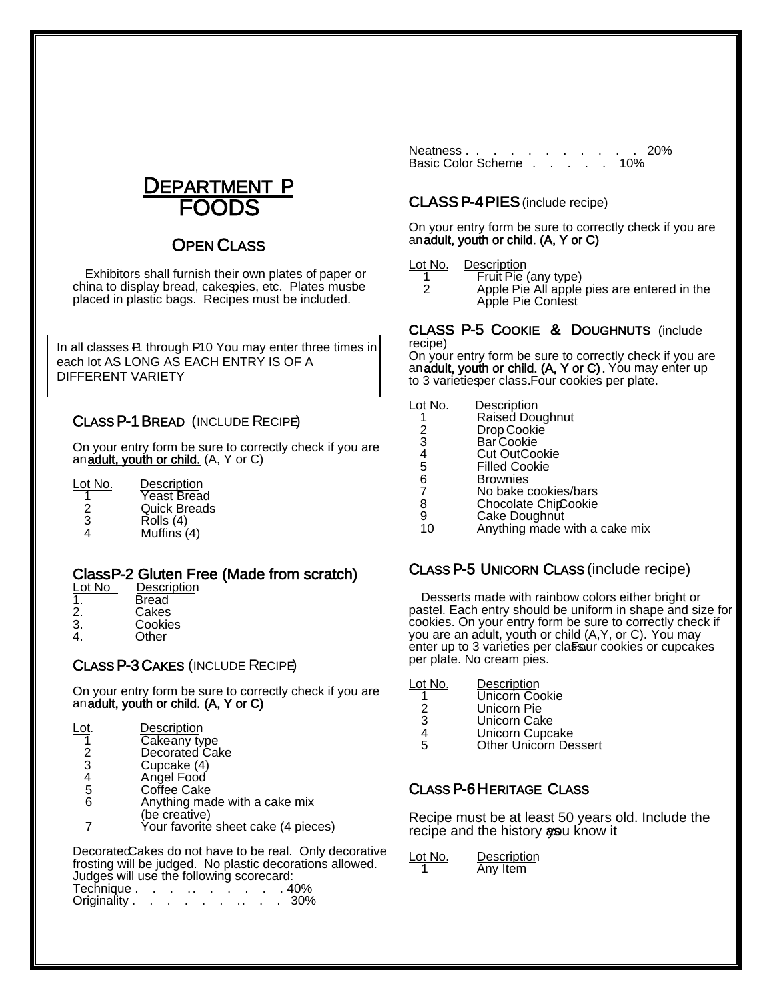

# **OPEN CLASS**

 Exhibitors shall furnish their own plates of paper or china to display bread, cakespies, etc. Plates musbe placed in plastic bags. Recipes must be included.

In all classes P1 through P10 You may enter three times in<br>asset let AS LONG AS FACH ENTRY IS OF A DIFFERENT VARIETY each lot AS LONG AS EACH ENTRY IS OF A

#### CLASS P-1 BREAD (INCLUDE RECIPE)

On your entry form be sure to correctly check if you are an adult, youth or child. (A, Y or C)

| Lot No. | Description         |
|---------|---------------------|
|         | Yeast Bread         |
| 2       | <b>Quick Breads</b> |
| 3       | Rolls (4)           |
| Δ       | Muffins $(4)$       |

# Class P-2 Gluten Free (Made from scratch)<br>Lot No Description

| Lot No         | Descriptio |
|----------------|------------|
| $\overline{1}$ | Bread      |
| 2.             | Cakes      |
| 3.             | Cookies    |
| 4.             | Other      |

#### CLASS P-3 CAKES (INCLUDE RECIPE)

On your entry form be sure to correctly check if you are an adult, youth or child. (A, Y or C)

| Lot. | Description  |
|------|--------------|
|      | Cakeany type |

- 2 Decorated Cake
	-
	- 3 Cupcake (4)<br>4 Angel Food
	- 4 Angel Food Coffee Cake
- 6 Anything made with a cake mix
- (be creative) 7 Your favorite sheet cake (4 pieces)

Decorated Cakes do not have to be real. Only decorative frosting will be judged. No plastic decorations allowed. Judges will use the following scorecard:

| Technique .  |  |  |  |  | . 40% |
|--------------|--|--|--|--|-------|
| Originality. |  |  |  |  | 30%   |

Neatness . . . . . . . . . . . 20% Basic Color Scheme . . . . . 10%

#### CLASS P-4 PIES (include recipe)

 On your entry form be sure to correctly check if you are an adult, youth or child. (A, Y or C)

# Lot No. Description<br>1 Fruit Pie

- 1 Fruit Pie (any type)<br>2 Apple Pie All apple
	- 2 Apple Pie All apple pies are entered in the Apple Pie Contest

#### CLASS P-5 COOKIE & DOUGHNUTS (include recipe)

On your entry form be sure to correctly check if you are an adult, youth or child. (A, Y or C). You may enter up to 3 varieties per class. Four cookies per plate.

| Anything made with a cake mix |
|-------------------------------|
|                               |

#### CLASS P-5 UNICORN CLASS (include recipe)

Desserts made with rainbow colors either bright or pastel. Each entry should be uniform in shape and size for cookies. On your entry form be sure to correctly check if you are an adult, youth or child (A, Y, or C). You may enter up to 3 varieties per class ur cookies or cupcakes per plate. No cream pies.

| Lot No. | Description    |
|---------|----------------|
|         | Unicorn Cookie |
| 2       | Unicorn Pie    |
| 3       | Unicorn Cake   |
|         |                |

- 4 Unicorn Cupcake<br>5 Other Unicorn De
- **Other Unicorn Dessert**

#### CLASS P-6 HERITAGE CLASS

Recipe must be at least 50 years old. Include the recipe and the history as u know it

| Lot No. | Description |
|---------|-------------|
|         | Any Item    |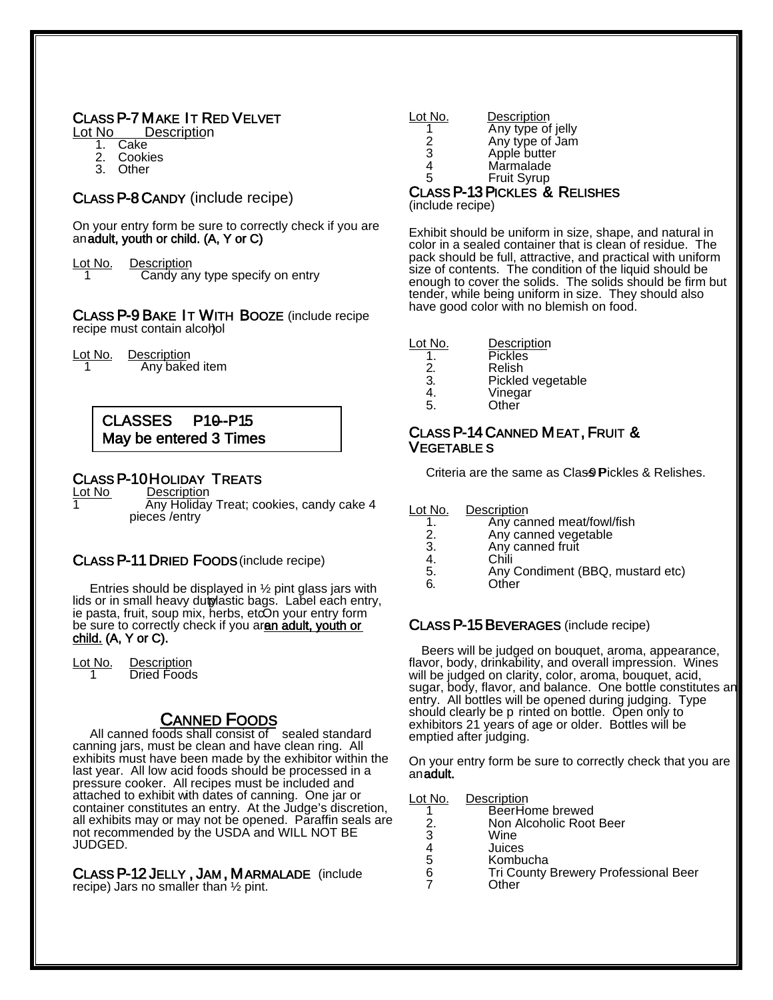# **CLASS P-7 MAKE IT RED VELVET<br><u>Lot No Descriptio</u>n**

- 1. Cake
- 2. Cookies
- 3. Other

#### CLASS P-8 CANDY (include recipe)

On your entry form be sure to correctly check if you are an adult, youth or child. (A, Y or C)

| Lot No. | Description                     |
|---------|---------------------------------|
|         | Candy any type specify on entry |

CLASS P-9 BAKE IT WITH BOOZE (include recipe recipe must contain alcohol

Lot No. Description Any baked item

#### CLASSES P10--P15 May be entered 3 Times

# **CLASS P-10 HOLIDAY TREATS**<br><u>Lot No Description</u>

1 Any Holiday Treat; cookies, candy cake 4 pieces /entry

#### CLASS P-11 DRIED FOODS (include recipe)

Entries should be displayed in  $\frac{1}{2}$  pint glass jars with lids or in small heavy duiplastic bags. Label each entry, ie pasta, fruit, soup mix, herbs, et $\overline{O}$ n your entry form be sure to correctly check if you aran adult, youth or child. (A, Y or C).

Lot No. Description<br>1 Dried Foods **Dried Foods** 

#### CANNED FOODS

All canned foods shall consist of sealed standard canning jars, must be clean and have clean ring. All exhibits must have been made by the exhibitor within the last year. All low acid foods should be processed in a pressure cooker. All recipes must be included and attached to exhibit with dates of canning. One jar or container constitutes an entry. At the Judge's discretion, all exhibits may or may not be opened. Paraffin seals are not recommended by the USDA and WILL NOT BE JUDGED.

CLASS P-12 JELLY , JAM , MARMALADE (include recipe). Jars no smaller than ½ pint.

| Lot No. | Description       |
|---------|-------------------|
|         | Any type of jelly |
| 2       | Any type of Jam   |
| 3       | Apple butter      |
| 4       | Marmalade         |
| 5       | Fruit Syrup       |
|         |                   |

# CLASS P-13 PICKLES & RELISHES (include recipe)

Exhibit should be uniform in size, shape, and natural in color in a sealed container that is clean of residue. The pack should be full, attractive, and practical with uniform size of contents. The condition of the liquid should be enough to cover the solids. The solids should be firm but tender, while being uniform in size. They should also have good color with no blemish on food.

| Lot No. | Description |
|---------|-------------|
|         |             |

- 1. Pickles<br>2. Relish
- 2. Relish<br>3. Pickled
- 3. Pickled vegetable<br>4. Vinegar
- 4. Vinegar<br>5. Other
- **Other**

#### CLASS P-14 CANNED MEAT, FRUIT & VEGETABLE S

Criteria are the same as Clas<sup>9</sup> Pickles & Relishes.

Lot No. Description<br>1. Any car

- 1. Any canned meat/fowl/fish<br>2. Any canned vegetable
- 2. Any canned vegetable<br>3. Any canned fruit
- 3. Any canned fruit<br>4. Chili
- 
- 4. Chili<br>5. Any 5. Any Condiment (BBQ, mustard etc)<br>6
- Other

#### CLASS P-15 BEVERAGES (include recipe)

 Beers will be judged on bouquet, aroma, appearance, flavor, body, drinkability, and overall impression. Wines will be judged on clarity, color, aroma, bouquet, acid, sugar, body, flavor, and balance. One bottle constitutes an entry. All bottles will be opened during judging. Type should clearly be p rinted on bottle. Open only to exhibitors 21 years of age or older. Bottles will be emptied after judging.

On your entry form be sure to correctly check that you are an adult.

Lot No. Description

| BeerHome brewed       |
|-----------------------|
| Nan Aloobolio Doot De |

- 2. Non Alcoholic Root Beer
- 3 Wine<br>4 Juice
- 4 Juices
- 5 Kombucha<br>6 Tri County 6 Tri County Brewery Professional Beer
	- **Other**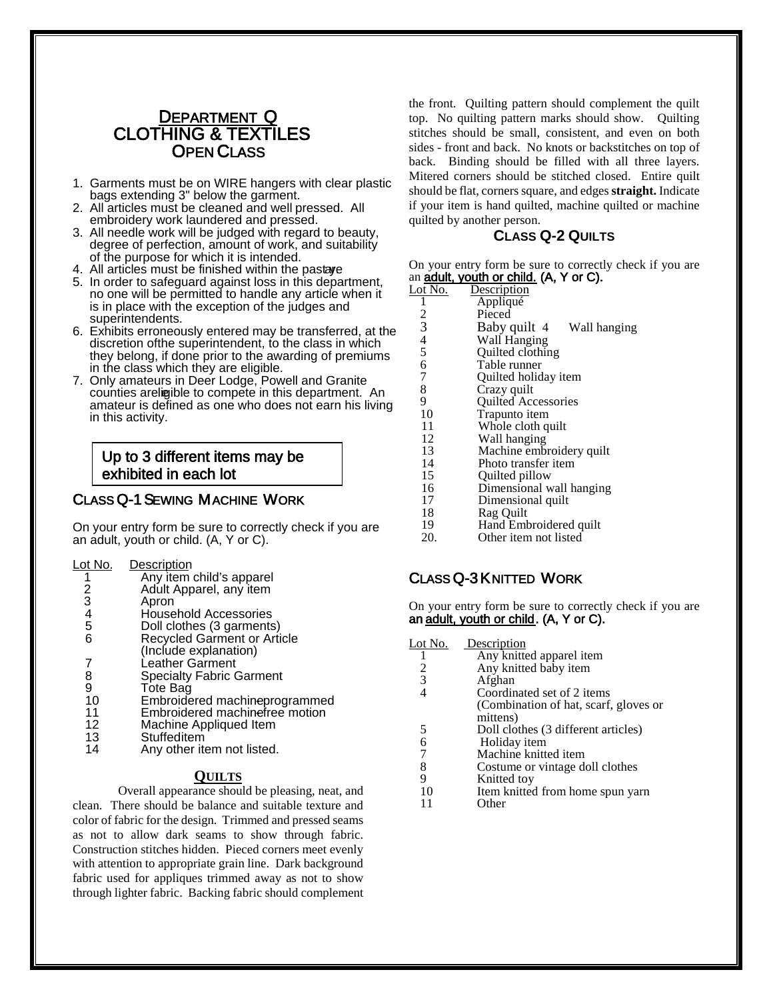# <u>DEPARTMENT Q</u><br>CLOTHING & TEXTILES

- **CHEN CLASS**<br>1. Garments must be on WIRE hangers with clear plastic bags extending 3" below the garment.
- 2. All articles must be cleaned and well pressed. All embroidery work laundered and pressed.
- 3. All needle work will be judged with regard to beauty, degree of perfection, amount of work, and suitability of the purpose for which it is intended.
- 4. All articles must be finished within the pastage
- 5. In order to safeguard against loss in this department, no one will be permitted to handle any article when it is in place with the exception of the judges and superintendents.
- 6. Exhibits erroneously entered may be transferred, at the discretion of the superintendent, to the class in which they belong, if done prior to the awarding of premiums in the class which they are eligible.
- 7. Only amateurs in Deer Lodge, Powell and Granite counties are ligible to compete in this department. An amateur is defined as one who does not earn his living in this activity.

#### Up to 3 different items may be exhibited in each lot

CLASS Q-1 SEWING MACHINE WORK<br>On your entry form be sure to correctly check if you are an adult, youth or child. (A, Y or C).

#### Lot No. Description

- 1 Any item child's apparel<br>2 Adult Apparel, any item
- 2 Adult Apparel, any item<br>3 Apron
- 3 Apron
- 4 Household Accessories<br>5 Doll clothes (3 garments
- 5 Doll clothes (3 garments)<br>6 Recycled Garment or Arti
- Recycled Garment or Article
- (Include explanation)
- 7 Leather Garment<br>8 Specialty Fabric (
- 8 Specialty Fabric Garment<br>9 Tote Bag
- 9 Tote Bag<br>10 Embroide
- 10 Embroidered machineprogrammed<br>11 Embroidered machinefree motion
- 11 Embroidered machinefree motion<br>12 Machine Appliqued Item
- 12 Machine Appliqued Item<br>13 Stuffeditem
- 13 Stuffeditem<br>14 Anv other ite Any other item not listed.

#### **QUILTS**

Overall appearance should be pleasing, neat, and clean. There should be balance and suitable texture and color of fabric for the design. Trimmed and pressed seams as not to allow dark seams to show through fabric. Construction stitches hidden. Pieced corners meet evenly with attention to appropriate grain line. Dark background fabric used for appliques trimmed away as not to show through lighter fabric. Backing fabric should complement

the front. Quilting pattern should complement the quilt top. No quilting pattern marks should show. Quilting stitches should be small, consistent, and even on both sides - front and back. No knots or backstitches on top of back. Binding should be filled with all three layers. Mitered corners should be stitched closed. Entire quilt should be flat, corners square, and edges**straight.** Indicate if your item is hand quilted, machine quilted or machine quilted by another person.

#### **CLASS Q-2 QUILTS**

 On your entry form be sure to correctly check if you are an **adult, youth or child.** (A, Y or C).

| Lot No.                                    | Description                  |
|--------------------------------------------|------------------------------|
|                                            | Appliqué                     |
| 2                                          | Pieced                       |
| 3                                          | Baby quilt 4<br>Wall hanging |
| $\begin{array}{c} 4 \\ 5 \\ 6 \end{array}$ | Wall Hanging                 |
|                                            | Quilted clothing             |
|                                            | Table runner                 |
| $\overline{7}$                             | Quilted holiday item         |
| $\frac{8}{9}$                              | Crazy quilt                  |
|                                            | <b>Quilted Accessories</b>   |
| 10                                         | Trapunto item                |
| 11                                         | Whole cloth quilt            |
| 12                                         | Wall hanging                 |
| 13                                         | Machine embroidery quilt     |
| 14                                         | Photo transfer item          |
| 15                                         | Quilted pillow               |
| 16                                         | Dimensional wall hanging     |
| 17                                         | Dimensional quilt            |
|                                            |                              |

- 
- 18 Rag Quilt<br>19 Hand Emb
- 19 Hand Embroidered quilt<br>20. Other item not listed Other item not listed

#### CLASS Q-3 KNITTED WORK

On your entry form be sure to correctly check if you are an adult, youth or child. (A, Y or C).

Lot No. Description 1 Any knitted apparel item<br>2 Any knitted baby item 2 Any knitted baby item<br>3 Afghan 3 Afghan<br>4 Coordinated set of 2 items (Combination of hat, scarf, gloves or<br>mittens)<br>5 Doll clothes (3 different articles) 5 Doll clothes (3 different articles)<br>6 Holiday item 6 Holiday item<br>7 Machine knitte 7 Machine knitted item<br>8 Costume or vintage de 8 Costume or vintage doll clothes<br>9 Knitted tov 9 Knitted toy<br>10 Item knitted 10 Item knitted from home spun yarn<br>11 Other **Other**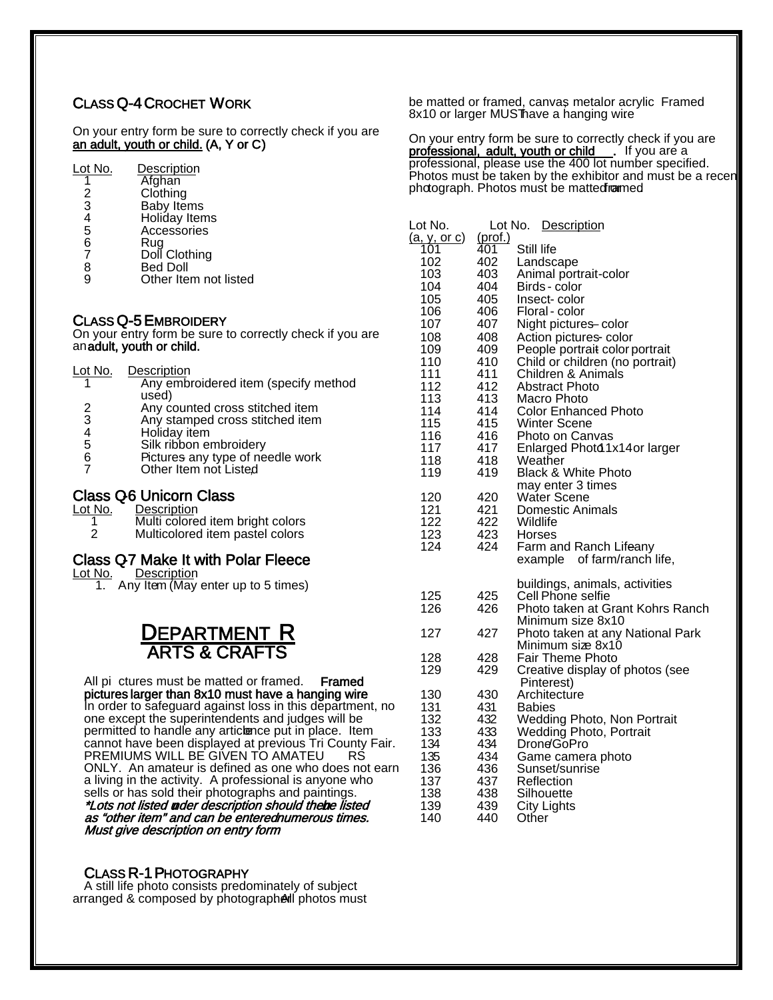#### CLASS Q-4 CROCHET WORK

On your entry form be sure to correctly check if you are an adult, youth or child. (A, Y or C)

| Lot No. | Description |
|---------|-------------|
|         | Afghan      |
| 2       | Clothing    |

- 
- 3 Baby Items<br>4 Holiday Item
- 4 Holiday Items<br>5 Accessories<br>6 Rug **Accessories**
- 6 Rug
- 7 Doll Clothing<br>8 Bed Doll
- 8 Bed Doll<br>9 Other Iter Other Item not listed

CLASS Q-5 EMBROIDERY<br>On your entry form be sure to correctly check if you are an adult, youth or child.

| Lot No.          | Description                               |
|------------------|-------------------------------------------|
| 1                | Any embroidered item (specify method      |
|                  | used)                                     |
|                  | Any counted cross stitched item           |
| 2<br>3<br>4<br>5 | Any stamped cross stitched item           |
|                  | Holiday item                              |
|                  | Silk ribbon embroidery                    |
| $\frac{6}{7}$    | Pictures any type of needle work          |
|                  | Other Item not Listed                     |
|                  |                                           |
|                  | <b>Class Q6 Unicorn Class</b>             |
| <u>Lot No.</u>   | Description                               |
| 1                | Multi colored item bright colors          |
| 2                | Multicolored item pastel colors           |
|                  |                                           |
|                  | <b>Class Q7 Make It with Polar Fleece</b> |
| Lot No.          | Description                               |

1. Any Item (May enter up to 5 times)

# DEPARTMENT R<br>ARTS & CRAFTS

All pi ctures must be matted or framed. Framed<br>pictures larger than 8x10 must have a hanging wire In order to safeguard against loss in this department, no one except the superintendents and judges will be permitted to handle any articlence put in place. Item cannot have been displayed at previous Tri County Fair.<br>PREMIUMS WILL BE GIVEN TO AMATEU RS PREMIUMS WILL BE GIVEN TO AMATEU ONLY. An amateur is defined as one who does not earn a living in the activity. A professional is anyone who sells or has sold their photographs and paintings. \*Lots not listed **n**der description should the**b**e listed as "other item" and can be enterednumerous times. Must give description on entry form

#### CLASS R-1 PHOTOGRAPHY

 A still life photo consists predominately of subject arranged & composed by photographeral photos must be matted or framed, canvas metalor acrylic Framed 8x10 or larger MUSThave a hanging wire

On your entry form be sure to correctly check if you are professional, adult, youth or child . If you are a professional, please use the 400 lot number specified. Photos must be taken by the exhibitor and must be a recent photograph. Photos must be matted ramed.

| Lot No.             | Lot No.    | Description                                           |
|---------------------|------------|-------------------------------------------------------|
| <u>(a, y, or c)</u> | (prot.)    | Still life                                            |
| 101<br>102          | 401<br>402 |                                                       |
| 103                 | 403        | Landscape<br>Animal portrait-color                    |
| 104                 | 404        | Birds - color                                         |
| 105                 | 405        | Insect-color                                          |
| 106                 | 406        | Floral - color                                        |
| 107                 | 407        | Night pictures color                                  |
| 108                 | 408        | Action pictures-color                                 |
| 109                 | 409        | People portrait color portrait                        |
| 110                 | 410        | Child or children (no portrait)                       |
| 111                 | 411        | Children & Animals                                    |
| 112                 | 412        | <b>Abstract Photo</b>                                 |
| 113                 | 413        | Macro Photo                                           |
| 114<br>115          | 414<br>415 | <b>Color Enhanced Photo</b>                           |
| 116                 | 416        | <b>Winter Scene</b><br>Photo on Canvas                |
| 117                 | 417        | Enlarged Photd 1x14or larger                          |
| 118                 | 418        | Weather                                               |
| 119                 | 419        | <b>Black &amp; White Photo</b>                        |
|                     |            | may enter 3 times                                     |
| 120                 | 420        | <b>Water Scene</b>                                    |
| 121                 | 421        | Domestic Animals                                      |
| 122                 | 422        | Wildlife                                              |
| 123                 | 423        | Horses                                                |
| 124                 | 424        | Farm and Ranch Lifeany<br>example of farm/ranch life, |
|                     |            |                                                       |
|                     |            | buildings, animals, activities                        |
| 125                 | 425        | Cell Phone selfie                                     |
| 126                 | 426        | Photo taken at Grant Kohrs Ranch                      |
|                     |            | Minimum size 8x10                                     |
| 127                 | 427        | Photo taken at any National Park                      |
| 128                 | 428        | Minimum siæ 8x10<br>Fair Theme Photo                  |
| 129                 | 429        | Creative display of photos (see                       |
|                     |            | Pinterest)                                            |
| 130                 | 430        | Architecture                                          |
| 131                 | 431        | <b>Babies</b>                                         |
| 132                 | 432        | <b>Wedding Photo, Non Portrait</b>                    |
| 133                 | 433        | Wedding Photo, Portrait                               |
| 134                 | 434        | Drone/GoPro                                           |
| 135                 | 434        | Game camera photo                                     |
| 136                 | 436        | Sunset/sunrise                                        |
| 137<br>138          | 437<br>438 | Reflection                                            |
| 139                 | 439        | Silhouette<br>City Lights                             |
| 140                 | 440        | Other                                                 |
|                     |            |                                                       |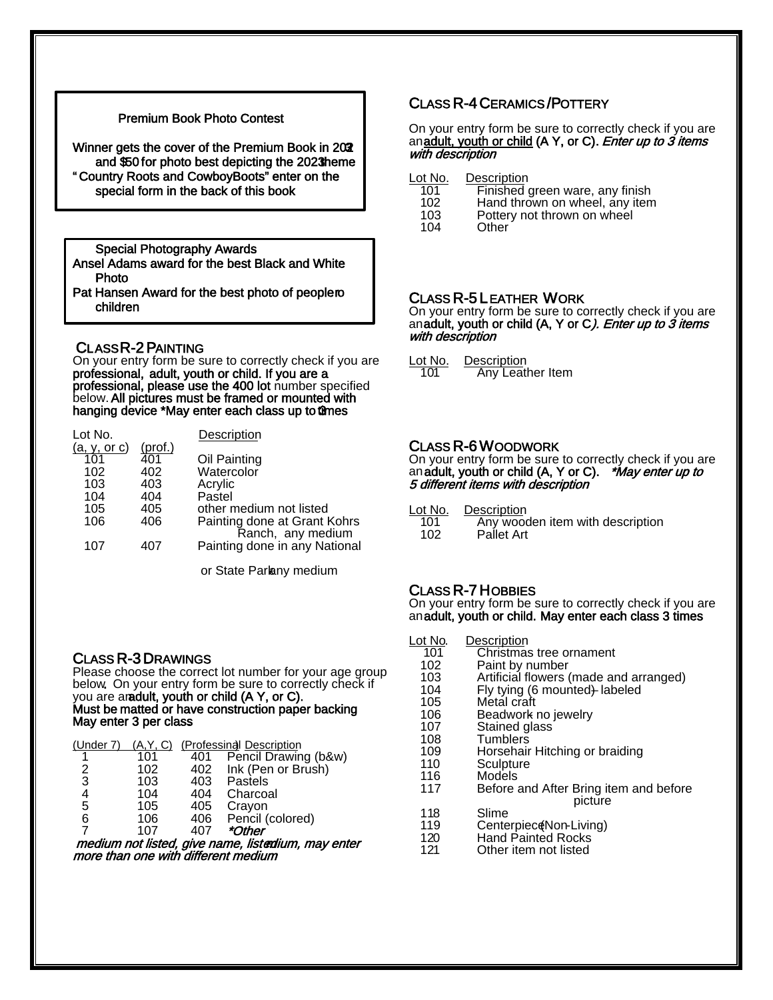#### Premium Book Photo Contest

Winner gets the cover of the Premium Book in 202 and  $$50$  for photo best depicting the 2023 heme " Country Roots and Cowboy Boots" enter on the special form in the back of this book

Special Photography Awards

Ansel Adams award for the best Black and White Photo

Pat Hansen Award for the best photo of people ro children

#### CLASS R-2 PAINTING

L

l

ł

On your entry form be sure to correctly check if you are professional, adult, youth or child. If you are a<br>professional, please use the 400 lot number specified below. All pictures must be framed or mounted with hanging device \*May enter each class up to @mes

| Lot No.      |                | Description                                        |
|--------------|----------------|----------------------------------------------------|
| (a, v, or c) | <u>(prof.)</u> |                                                    |
| 101          | 401            | Oil Painting                                       |
| 102          | 402            | Watercolor                                         |
| 103          | 403            | Acrylic                                            |
| 104          | 404            | Pastel                                             |
| 105          | 405            | other medium not listed                            |
| 106          | 406            | Painting done at Grant Kohrs                       |
| 107          | 407            | Ranch, any medium<br>Painting done in any National |

or State Parlany medium

#### CLASS R-3 DRAWINGS

Please choose the correct lot number for your age group below. On your entry form be sure to correctly check if you are an adult, youth or child  $(A Y, o r C)$ . Must be matted or have construction paper backing<br>May enter 3 per class

| (Under 7) |     |     | (A, Y, C) (Professinal Description                 |
|-----------|-----|-----|----------------------------------------------------|
|           | 101 | 401 | Pencil Drawing (b&w)                               |
| 2         | 102 |     | 402 Ink (Pen or Brush)                             |
| 3         | 103 | 403 | Pastels                                            |
| 4         | 104 | 404 | Charcoal                                           |
| 5         | 105 | 405 | Crayon                                             |
| 6         | 106 |     | 406 Pencil (colored)                               |
| 7         | 107 | 407 | <i>*Other</i>                                      |
|           |     |     | medium not listed, give name, listedium, may enter |

more than one with different medium

#### CLASS R-4 CERAMICS /POTTERY

On your entry form be sure to correctly check if you are anadult, youth or child (A Y, or C). *Enter up to 3 items* with description

- 
- 101 Finished green ware, any finish<br>102 Hand thrown on wheel, any item
- 102 Hand thrown on wheel, any item<br>103 Pottery not thrown on wheel 103 Pottery not thrown on wheel<br>104 Other
- Other

**CLASS R-5 LEATHER WORK**<br>On your entry form be sure to correctly check if you are an adult, youth or child (A, Y or C). Enter up to 3 items with description

Lot No. Description<br>101 Any Leat Any Leather Item

**CLASS R-6 WOODWORK**<br>On your entry form be sure to correctly check if you are an **adult, youth or child (A, Y or C).** *\*May enter up to* 5 different items with description

| Lot No. | Description                      |
|---------|----------------------------------|
| 101     | Any wooden item with description |
| 102     | Pallet Art                       |

CLASS R-7 HOBBIES<br>On your entry form be sure to correctly check if you are an adult, youth or child. May enter each class 3 times

Lot No. Description<br>101 Christmas 101 Christmas tree ornament<br>102 Paint by number 102 Paint by number<br>103 Artificial flowers 103 Artificial flowers (made and arranged)<br>104 Fly tying (6 mounted) labeled 104 Fly tying (6 mounted<del>)</del> labeled<br>105 Metal craft 106 Beadwork no jewelry<br>107 Stained glass 107 Stained glass<br>108 Tumblers 108 Tumblers<br>109 Horsehair 109 Horsehair Hitching or braiding<br>110 Sculpture 110 Sculpture<br>116 Models<br>117 Before an Before and After Bring item and before picture 118 Slime<br>119 Cente 119 Centerpiece (Non-Living)<br>120 Hand Painted Rocks 120 Hand Painted Rocks<br>121 Other item not listed Other item not listed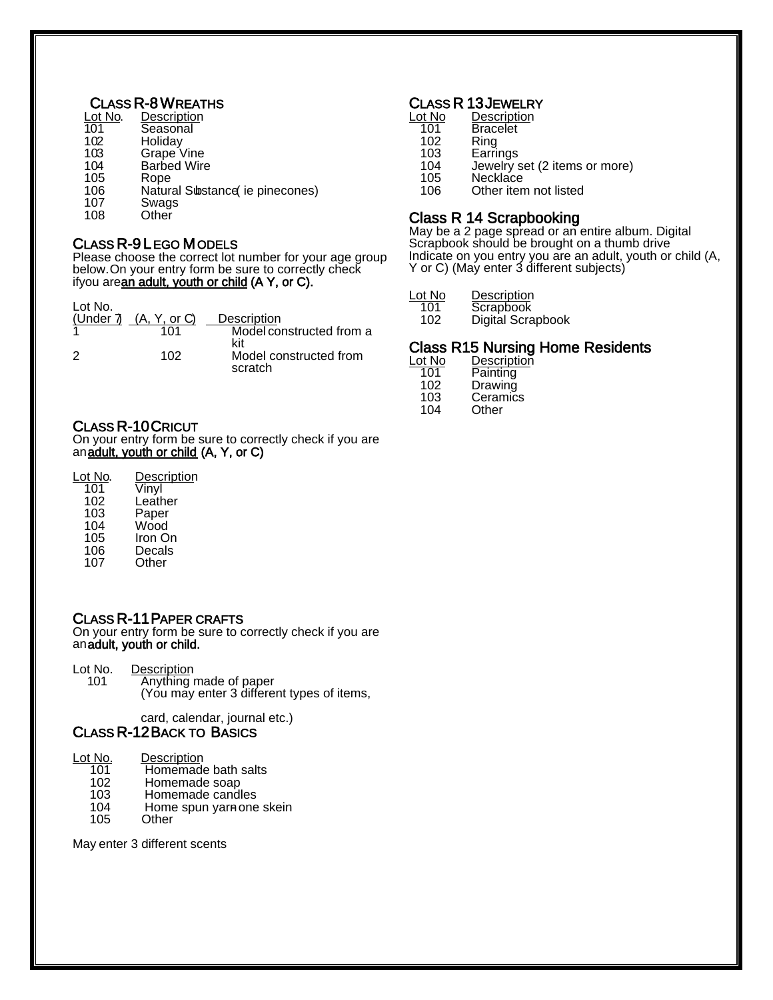#### **CLASS R-8 WREATHS**

| Lot No. | Description        |
|---------|--------------------|
| 101     | Seasonal           |
| 102     | Holiday            |
| 103     | Grape Vine         |
| 104     | <b>Barbed Wire</b> |
| 105     | Rope               |
| 1 በፍ    | Natural Siheta     |

- 106 Natural Substance (ie pinecones)<br>107 Swags
- 107 Swags<br>108 Other
- **Other**

CLASS R-9 LEGO MODELS<br>Please choose the correct lot number for your age group below. On your entry form be sure to correctly check ifyou arean adult, youth or child (A Y, or C).

| Lot No.<br>(Under 7) | (A, Y, or C) | Description                       |
|----------------------|--------------|-----------------------------------|
|                      | 101          | Model constructed from a<br>kit   |
| -2                   | 102          | Model constructed from<br>scratch |

#### CLASS R-10 CRICUT

On your entry form be sure to correctly check if you are an<u>adult, youth or child</u> (A, Y, or C)

| Lot No. | <b>Description</b> |
|---------|--------------------|
| 101     | Vinyl              |
| 102     | Leather            |
| 103     | Paper              |
| 104     | Wood               |
| 105     | Iron On            |
|         |                    |

- 
- 106 Decals<br>107 Other **Other**

#### CLASS R-11 PAPER CRAFTS

On your entry form be sure to correctly check if you are an adult, youth or child.

Lot No. Description<br>101 Anything r

- Anything made of paper
	- (You may enter 3 different types of items,

card, calendar, journal etc.)

#### CLASS R-12 BACK TO BASICS

Lot No. Description<br>101 Homemade

- 101 Homemade bath salts<br>102 Homemade soap
- 102 Homemade soap<br>103 Homemade candl
- 103 Homemade candles<br>104 Home spun varnone 104 Home spun yarn one skein<br>105 Other
- **Other**

May enter 3 different scents

#### **CLASS R 13 JEWELRY**

| Lot No | Description                   |
|--------|-------------------------------|
| 101    | <b>Bracelet</b>               |
| 102    | Ring                          |
| 103    | Earrings                      |
| 104    | Jewelry set (2 items or more) |
| 105    | Necklace                      |
| 106    | Other item not listed         |

**Class R 14 Scrapbooking**<br>May be a 2 page spread or an entire album. Digital Scrapbook should be brought on a thumb drive Indicate on you entry you are an adult, youth or child (A, Y or C) (May enter 3 different subjects)

| Lot No | Description |
|--------|-------------|
| 101    | Scrapbook   |
|        |             |

102 Digital Scrapbook

#### **Class R15 Nursing Home Residents**

| <b>Descriptio</b> |
|-------------------|
| Painting          |
| Drawing           |
| Ceramics          |
| Other             |
|                   |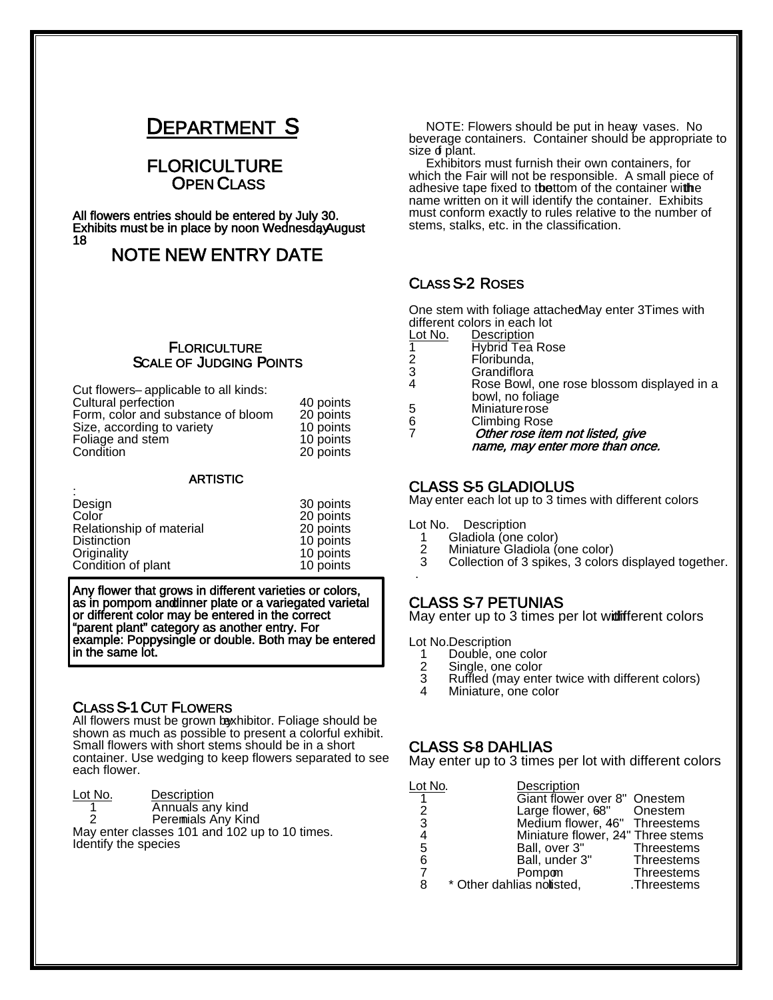# **DEPARTMENT S<br>FLORICULTURE<br>OPEN CLASS<br>All flowers entries should be entered by July 30.**

Exhibits must be in place by noon WednesdayAugust<br>18

## NOTE NEW ENTRY DATE

# FLORICULTURE<br>SCALE OF JUDGING POINTS

| Cut flowers-applicable to all kinds: |           |
|--------------------------------------|-----------|
| Cultural perfection                  | 40 points |
| Form, color and substance of bloom   | 20 points |
| Size, according to variety           | 10 points |
| Foliage and stem                     | 10 points |
| Condition                            | 20 points |

#### **ARTISTIC**

| Design                   | 30 points |
|--------------------------|-----------|
| Color                    | 20 points |
| Relationship of material | 20 points |
| <b>Distinction</b>       | 10 points |
| Originality              | 10 points |
| Condition of plant       | 10 points |

Any flower that grows in different varieties or colors, as in pompom and tinner plate or a variegated varietal or different color may be entered in the correct "parent plant" category as another entry. For example: Poppysingle or double. Both may be entered in the same lot.

#### CLASS S-1 CUT FLOWERS

All flowers must be grown baxhibitor. Foliage should be shown as much as possible to present a colorful exhibit. Small flowers with short stems should be in a short container. Use wedging to keep flowers separated to see each flower.

Lot No. Description 1 Annuals any kind<br>2 Peremials Any Kir Peremials Any Kind May enter classes 101 and 102 up to 10 times. Identify the species

NOTE: Flowers should be put in heaw vases. No beverage containers. Container should be appropriate to size of plant.

 Exhibitors must furnish their own containers, for which the Fair will not be responsible. A small piece of adhesive tape fixed to thettom of the container withe name written on it will identify the container. Exhibits must conform exactly to rules relative to the number of stems, stalks, etc. in the classification.

#### CLASS S-2 ROSES

 $\overline{a}$ One stem with foliage attachedMay enter 3Times with different colors in each lot

| Lot No. | Description                                |
|---------|--------------------------------------------|
|         | <b>Hybrid Tea Rose</b>                     |
| 2       | Floribunda.                                |
| 3       | Grandiflora                                |
| 4       | Rose Bowl, one rose blossom displayed in a |
|         | bowl, no foliage                           |
| 5       | Miniature rose                             |
|         |                                            |

6 Climbing Rose<br>7 *Other rose iter* Other rose item not listed, give name, may enter more than once.

CLASS S-5 GLADIOLUS<br>May enter each lot up to 3 times with different colors

- Lot No. Description
	- 1 Gladiola (one color)<br>2 Miniature Gladiola (
	- 2 Miniature Gladiola (one color)
	- 3 Collection of 3 spikes, 3 colors displayed together.

**CLASS S7 PETUNIAS**<br>May enter up to 3 times per lot wi**di**fferent colors

Lot No. Description

.

- 1 Double, one color<br>2 Single, one color
- 2 Single, one color<br>3 Ruffled (may enter
- 3 Ruffled (may enter twice with different colors)<br>4 Miniature one color
- Miniature, one color

CLASS S-8 DAHLIAS<br>May enter up to 3 times per lot with different colors

| Lot No.        | Description                       |                   |
|----------------|-----------------------------------|-------------------|
|                | Giant flower over 8" Onestem      |                   |
| 2              | Large flower, 68" Onestem         |                   |
| 3              | Medium flower, 46" Threestems     |                   |
| 4              | Miniature flower, 24" Three stems |                   |
| 5              | Ball, over 3"                     | <b>Threestems</b> |
| 6              | Ball, under 3"                    | Threestems        |
| $\overline{7}$ | Pompon                            | Threestems        |
| 8              | * Other dahlias notisted,         | Threestems.       |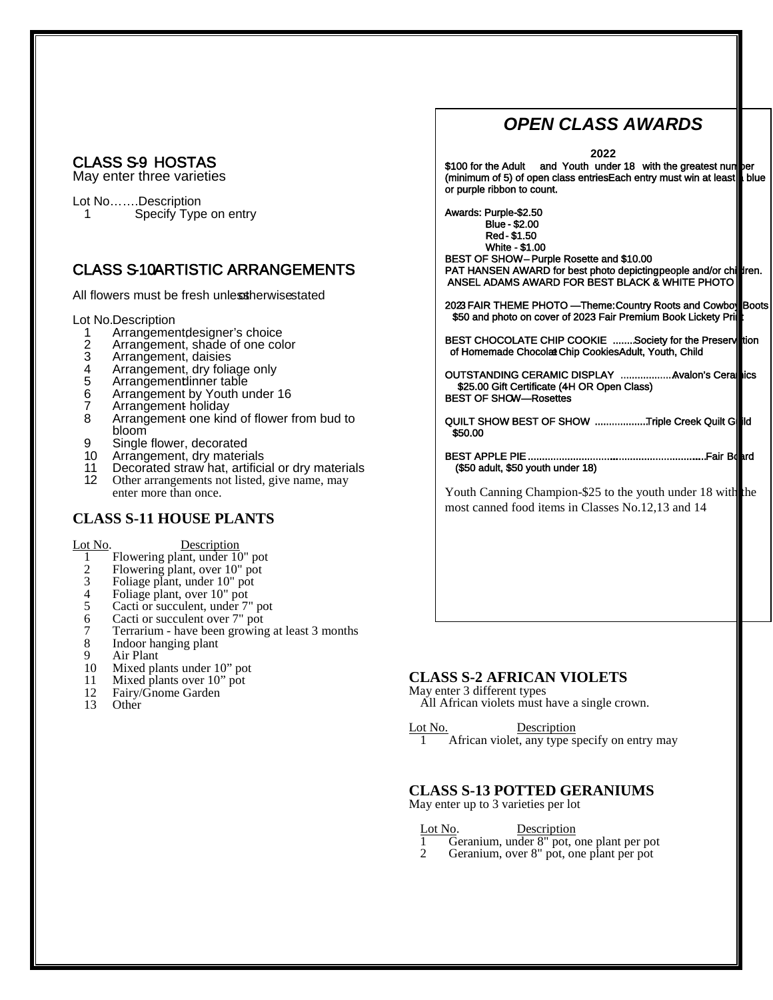# **CLASS S-9 HOSTAS**<br>May enter three varieties

Lot No……Description<br>1 Specify Type Specify Type on entry

## CLASS S-10ARTISTIC ARRANGEMENTS

All flowers must be fresh unless therwise stated

Lot No.Description

- 1 Arrangement designer's choice<br>2 Arrangement shade of one col
- 2 Arrangement, shade of one color<br>3 Arrangement, daisies
- 
- 3 Arrangement, daisies<br>4 Arrangement, dry folia
- 4 Arrangement, dry foliage only<br>5 Arrangementlinner table
- 5 Arrangementlinner table<br>6 Arrangement by Youth ur Arrangement by Youth under 16
- 7 Arrangement holiday<br>8 Arrangement one king
- Arrangement one kind of flower from bud to bloom
- 9 Single flower, decorated
- 10 Arrangement, dry materials
- 11 Decorated straw hat, artificial or dry materials<br>12 Other arrangements not listed, give name, may Other arrangements not listed, give name, may enter more than once.

#### **CLASS S-11 HOUSE PLANTS**

Lot No. Description

- 1 Flowering plant, under 10" pot
- 2 Flowering plant, over 10" pot<br>3 Foliage plant, under 10" pot
- 3 Foliage plant, under 10" pot<br>4 Foliage plant, over 10" pot
- 4 Foliage plant, over 10" pot<br>5 Cacti or succulent, under 7'
- 5 Cacti or succulent, under 7" pot
- 6 Cacti or succulent over 7" pot
- 7 Terrarium have been growing at least 3 months
- 8 Indoor hanging plant
- 
- 9 Air Plant<br>10 Mixed pla
- 10 Mixed plants under 10" pot<br>11 Mixed plants over 10" pot
- 11 Mixed plants over 10" pot<br>12 Fairy/Gnome Garden 12 Fairy/Gnome Garden<br>13 Other
- **Other**

# *OPEN CLASS AWARDS*

**2022**

\$100 for the Adult and Youth under 18 with the greatest num**per** (minimum of 5) of open class entriesEach entry must win at least blue or purple ribbon to count.

Awards: Purple-\$2.50 Blue - \$2.00 Red - \$1.50 White - \$1.00 BEST OF SHOW – Purple Rosette and \$10.00

PAT HANSEN AWARD for best photo depicting people and/or children. ANSEL ADAMS AWARD FOR BEST BLACK & WHITE PHOTO

2023 FAIR THEME PHOTO —Theme: Country Roots and Cowboy Boots \$50 and photo on cover of 2023 Fair Premium Book Lickety Pri

BEST CHOCOLATE CHIP COOKIE  $~\dots~$  Society for the Preserviction of Homemade Chocolat Chip Cookies Adult, Youth, Child

OUTSTANDING CERAMIC DISPLAY ...................Avalon's Ceral**e**ics \$25.00 Gift Certificate (4H OR Open Class) BEST OF SHOW—Rosettes

QUILT SHOW BEST OF SHOW ...................Triple Creek Quilt Guild \$50.00

BEST APPLE PIE ............................................................... Fair Board (\$50 adult, \$50 youth under 18)

Youth Canning Champion-\$25 to the youth under 18 with the most canned food items in Classes No.12,13 and 14

#### **CLASS S-2 AFRICAN VIOLETS**

May enter 3 different types

All African violets must have a single crown.

Lot No. Description

1 African violet, any type specify on entry may

#### **CLASS S-13 POTTED GERANIUMS**

May enter up to 3 varieties per lot

Lot No. Description

1 Geranium, under 8" pot, one plant per pot

2 Geranium, over 8" pot, one plant per pot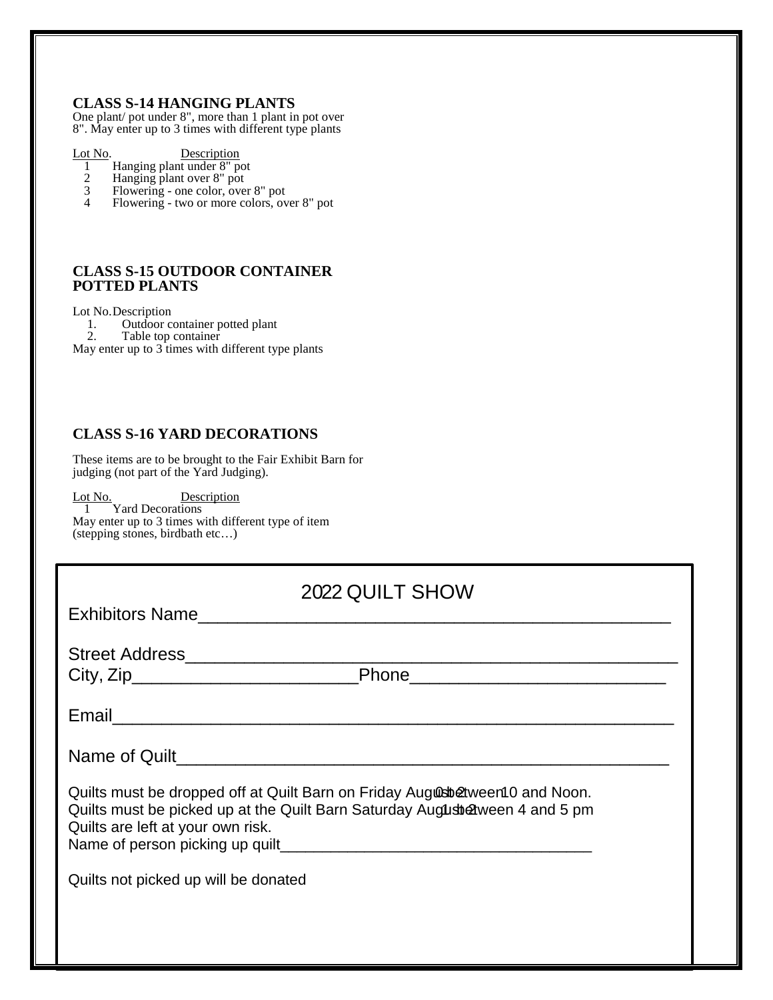#### **CLASS S-14 HANGING PLANTS**

One plant/ pot under 8", more than 1 plant in pot over 8". May enter up to 3 times with different type plants

Lot No. Description 1 Hanging plant under  $8"$  po

- 1 Hanging plant under 8" pot
- 2 Hanging plant over 8" pot
- 3 Flowering one color, over 8" pot
	- 4 Flowering two or more colors, over 8" pot

#### **CLASS S-15 OUTDOOR CONTAINER POTTED PLANTS**

Lot No.Description 1. Outdoor container potted plant 2. Table top container

May enter up to  $3$  times with different type plants

#### **CLASS S-16 YARD DECORATIONS**

These items are to be brought to the Fair Exhibit Barn for judging (not part of the Yard Judging).

Lot No. Description 1 Yard Decorations May enter up to 3 times with different type of item (stepping stones, birdbath etc…)

| 2022 QUILT SHOW                                                                                                                                                                                     |  |  |  |  |
|-----------------------------------------------------------------------------------------------------------------------------------------------------------------------------------------------------|--|--|--|--|
| Exhibitors Name                                                                                                                                                                                     |  |  |  |  |
|                                                                                                                                                                                                     |  |  |  |  |
|                                                                                                                                                                                                     |  |  |  |  |
| Name of Quilt                                                                                                                                                                                       |  |  |  |  |
| Quilts must be dropped off at Quilt Barn on Friday August Determent O and Noon.<br>Quilts must be picked up at the Quilt Barn Saturday August &ween 4 and 5 pm<br>Quilts are left at your own risk. |  |  |  |  |
| Quilts not picked up will be donated                                                                                                                                                                |  |  |  |  |
|                                                                                                                                                                                                     |  |  |  |  |
|                                                                                                                                                                                                     |  |  |  |  |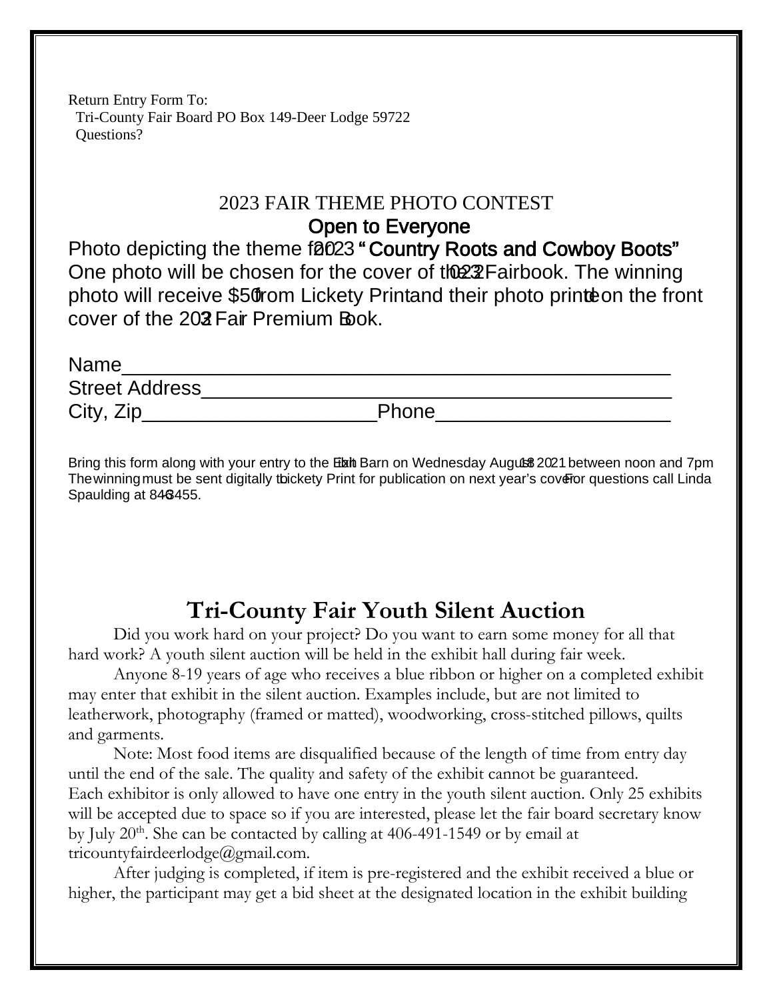Return Entry Form To: Tri-County Fair Board PO Box 149-Deer Lodge 59722 Questions?

# 2023 FAIR THEME PHOTO CONTEST

Open to Everyone

Photo depicting the theme f0023 " Country Roots and Cowboy Boots" One photo will be chosen for the cover of the 22 Fairbook. The winning photo will receive \$50 from Lickety Print and their photo printe on the front cover of the 202 Fair Premium Book.

| <b>Name</b>           |       |
|-----------------------|-------|
| <b>Street Address</b> |       |
| City, Zip             | Phone |

Bring this form along with your entry to the Etxith Barn on Wednesday Augut \$3021 between noon and 7pm. The winning must be sent digitally tbickety Print for publication on next year's coveror questions call Linda Spaulding at 846455.

# **Tri-County Fair Youth Silent Auction**

Did you work hard on your project? Do you want to earn some money for all that hard work? A youth silent auction will be held in the exhibit hall during fair week.

Anyone 8-19 years of age who receives a blue ribbon or higher on a completed exhibit may enter that exhibit in the silent auction. Examples include, but are not limited to leatherwork, photography (framed or matted), woodworking, cross-stitched pillows, quilts and garments.

Note: Most food items are disqualified because of the length of time from entry day until the end of the sale. The quality and safety of the exhibit cannot be guaranteed. Each exhibitor is only allowed to have one entry in the youth silent auction. Only 25 exhibits will be accepted due to space so if you are interested, please let the fair board secretary know by July  $20<sup>th</sup>$ . She can be contacted by calling at 406-491-1549 or by email at tricountyfairdeerlodge@gmail.com.

After judging is completed, if item is pre-registered and the exhibit received a blue or higher, the participant may get a bid sheet at the designated location in the exhibit building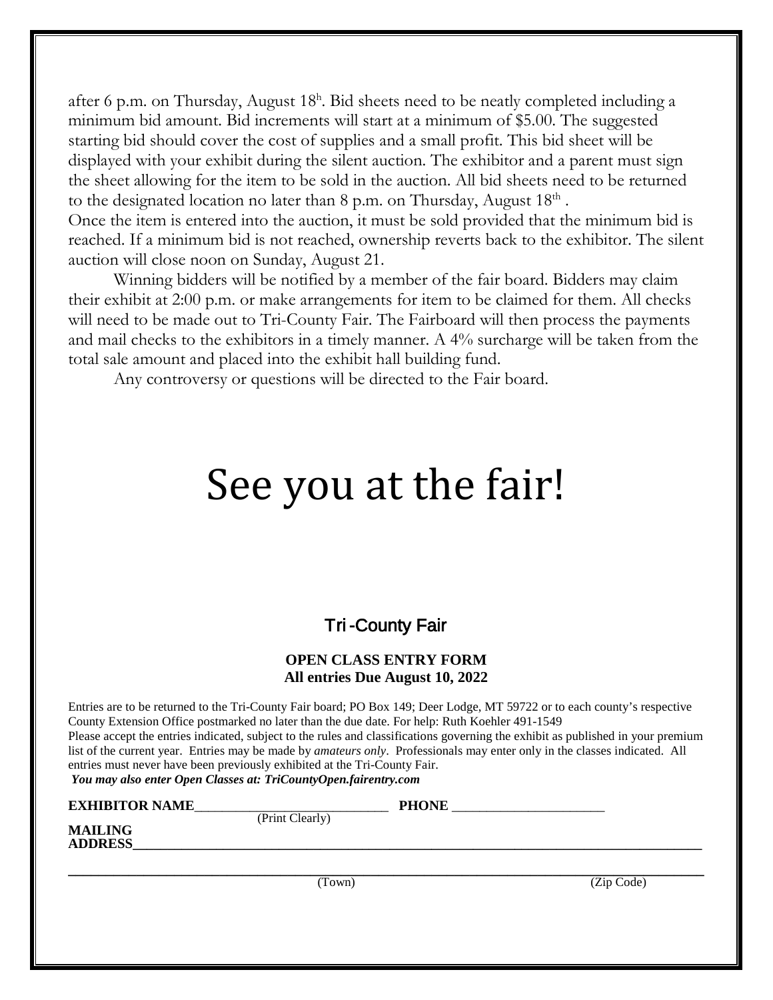after 6 p.m. on Thursday, August 18<sup>h</sup>. Bid sheets need to be neatly completed including a minimum bid amount. Bid increments will start at a minimum of \$5.00. The suggested starting bid should cover the cost of supplies and a small profit. This bid sheet will be displayed with your exhibit during the silent auction. The exhibitor and a parent must sign the sheet allowing for the item to be sold in the auction. All bid sheets need to be returned to the designated location no later than 8 p.m. on Thursday, August 18<sup>th</sup>.

Once the item is entered into the auction, it must be sold provided that the minimum bid is reached. If a minimum bid is not reached, ownership reverts back to the exhibitor. The silent auction will close noon on Sunday, August 21.

Winning bidders will be notified by a member of the fair board. Bidders may claim their exhibit at 2:00 p.m. or make arrangements for item to be claimed for them. All checks will need to be made out to Tri-County Fair. The Fairboard will then process the payments and mail checks to the exhibitors in a timely manner. A 4% surcharge will be taken from the total sale amount and placed into the exhibit hall building fund.

Any controversy or questions will be directed to the Fair board.

# See you at the fair!

# Tri -County Fair

#### **OPEN CLASS ENTRY FORM All entries Due August 10, 2022**

Entries are to be returned to the Tri-County Fair board; PO Box 149; Deer Lodge, MT 59722 or to each county's respective County Extension Office postmarked no later than the due date. For help: Ruth Koehler 491-1549 Please accept the entries indicated, subject to the rules and classifications governing the exhibit as published in your premium list of the current year. Entries may be made by *amateurs only*. Professionals may enter only in the classes indicated. All entries must never have been previously exhibited at the Tri-County Fair.

*You may also enter Open Classes at: TriCountyOpen.fairentry.com*

| <b>EXHIBITOR NAME_</b> |                 | <b>PHONE</b> |            |
|------------------------|-----------------|--------------|------------|
|                        | (Print Clearly) |              |            |
| <b>MAILING</b>         |                 |              |            |
| <b>ADDRESS</b>         |                 |              |            |
|                        |                 |              |            |
|                        |                 |              |            |
|                        | (Town)          |              | (Zip Code) |
|                        |                 |              |            |
|                        |                 |              |            |
|                        |                 |              |            |